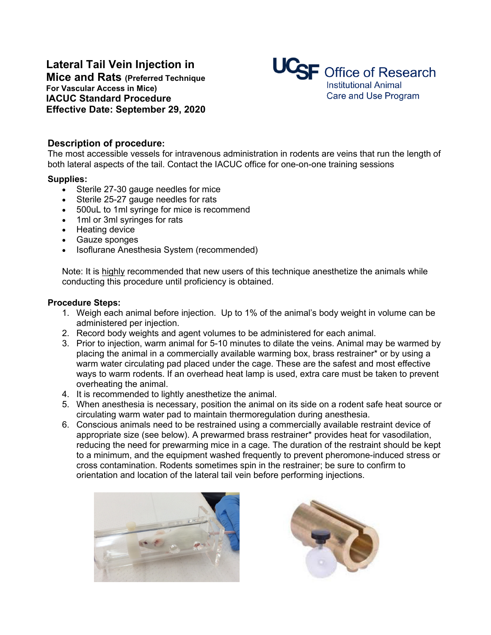# **Lateral Tail Vein Injection in**

**Mice and Rats (Preferred Technique For Vascular Access in Mice) IACUC Standard Procedure Effective Date: September 29, 2020**



## **Description of procedure:**

The most accessible vessels for intravenous administration in rodents are veins that run the length of both lateral aspects of the tail. Contact the IACUC office for one-on-one training sessions

#### **Supplies:**

- Sterile 27-30 gauge needles for mice<br>• Sterile 25-27 gauge needles for rats
- Sterile 25-27 gauge needles for rats
- 500uL to 1ml syringe for mice is recommend
- 1ml or 3ml syringes for rats
- Heating device
- Gauze sponges
- Isoflurane Anesthesia System (recommended)

Note: It is highly recommended that new users of this technique anesthetize the animals while conducting this procedure until proficiency is obtained.

#### **Procedure Steps:**

- 1. Weigh each animal before injection. Up to 1% of the animal's body weight in volume can be administered per injection.
- 2. Record body weights and agent volumes to be administered for each animal.
- 3. Prior to injection, warm animal for 5-10 minutes to dilate the veins. Animal may be warmed by placing the animal in a commercially available warming box, brass restrainer\* or by using a warm water circulating pad placed under the cage. These are the safest and most effective ways to warm rodents. If an overhead heat lamp is used, extra care must be taken to prevent overheating the animal.
- 4. It is recommended to lightly anesthetize the animal.
- 5. When anesthesia is necessary, position the animal on its side on a rodent safe heat source or circulating warm water pad to maintain thermoregulation during anesthesia.
- 6. Conscious animals need to be restrained using a commercially available restraint device of appropriate size (see below). A prewarmed brass restrainer\* provides heat for vasodilation, reducing the need for prewarming mice in a cage. The duration of the restraint should be kept to a minimum, and the equipment washed frequently to prevent pheromone-induced stress or cross contamination. Rodents sometimes spin in the restrainer; be sure to confirm to orientation and location of the lateral tail vein before performing injections.



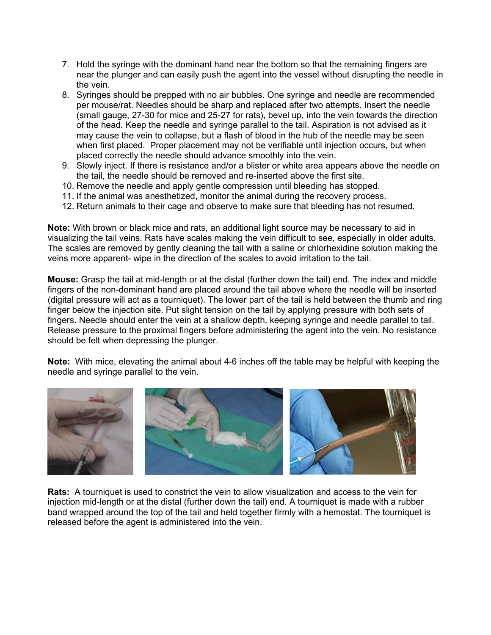- 7. Hold the syringe with the dominant hand near the bottom so that the remaining fingers are near the plunger and can easily push the agent into the vessel without disrupting the needle in the vein.
- 8. Syringes should be prepped with no air bubbles. One syringe and needle are recommended per mouse/rat. Needles should be sharp and replaced after two attempts. Insert the needle (small gauge, 27-30 for mice and 25-27 for rats), bevel up, into the vein towards the direction of the head. Keep the needle and syringe parallel to the tail. Aspiration is not advised as it may cause the vein to collapse, but a flash of blood in the hub of the needle may be seen when first placed. Proper placement may not be verifiable until injection occurs, but when placed correctly the needle should advance smoothly into the vein.
- 9. Slowly inject. If there is resistance and/or a blister or white area appears above the needle on the tail, the needle should be removed and re-inserted above the first site.
- 10. Remove the needle and apply gentle compression until bleeding has stopped.
- 11. If the animal was anesthetized, monitor the animal during the recovery process.
- 12. Return animals to their cage and observe to make sure that bleeding has not resumed.

**Note:** With brown or black mice and rats, an additional light source may be necessary to aid in visualizing the tail veins. Rats have scales making the vein difficult to see, especially in older adults. The scales are removed by gently cleaning the tail with a saline or chlorhexidine solution making the veins more apparent- wipe in the direction of the scales to avoid irritation to the tail.

**Mouse:** Grasp the tail at mid-length or at the distal (further down the tail) end. The index and middle fingers of the non-dominant hand are placed around the tail above where the needle will be inserted (digital pressure will act as a tourniquet). The lower part of the tail is held between the thumb and ring finger below the injection site. Put slight tension on the tail by applying pressure with both sets of fingers. Needle should enter the vein at a shallow depth, keeping syringe and needle parallel to tail. Release pressure to the proximal fingers before administering the agent into the vein. No resistance should be felt when depressing the plunger.

**Note:** With mice, elevating the animal about 4-6 inches off the table may be helpful with keeping the needle and syringe parallel to the vein.



**Rats:** A tourniquet is used to constrict the vein to allow visualization and access to the vein for injection mid-length or at the distal (further down the tail) end. A tourniquet is made with a rubber band wrapped around the top of the tail and held together firmly with a hemostat. The tourniquet is released before the agent is administered into the vein.